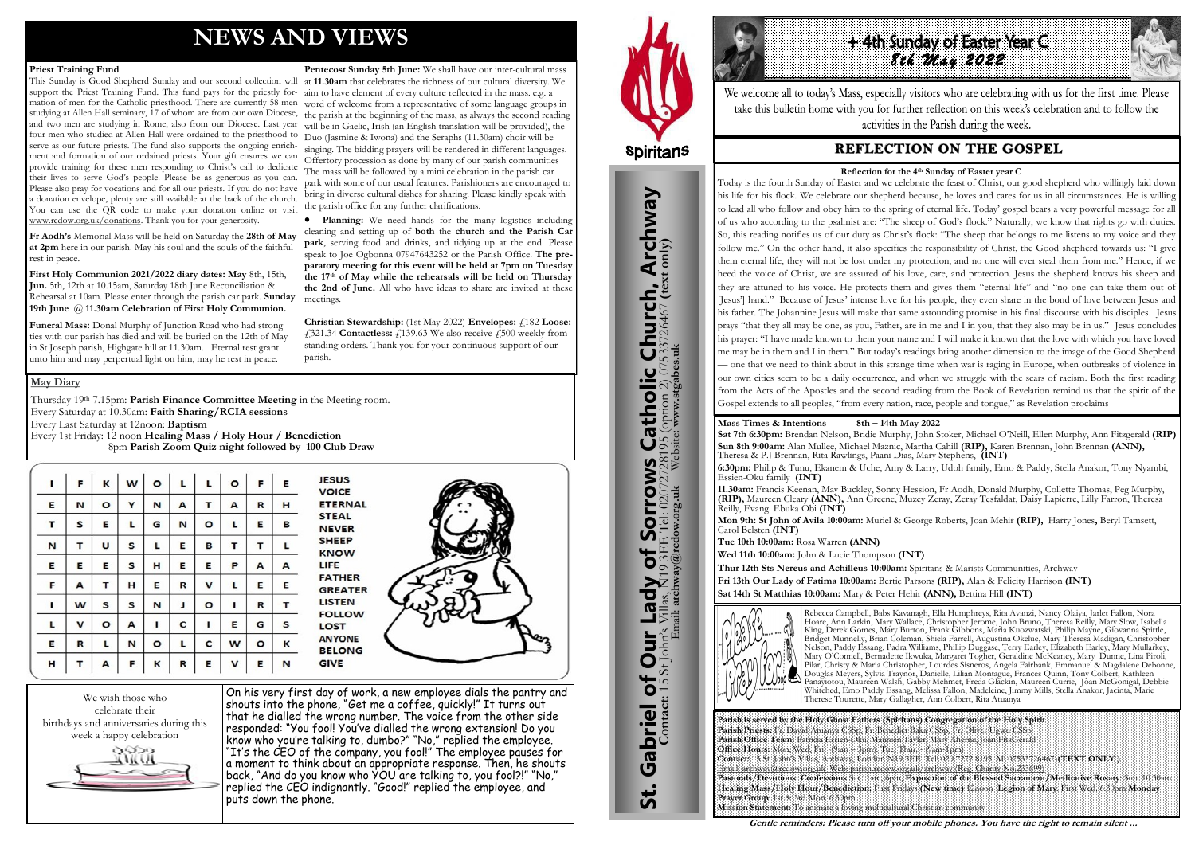# **NEWS AND VIEWS**

#### **Priest Training Fund**

This Sunday is Good Shepherd Sunday and our second collection will at **11.30am** that celebrates the richness of our cultural diversity. We support the Priest Training Fund. This fund pays for the priestly for-aim to have element of every culture reflected in the mass. e.g. a mation of men for the Catholic priesthood. There are currently 58 men word of welcome from a representative of some language groups in studying at Allen Hall seminary, 17 of whom are from our own Diocese, the parish at the beginning of the mass, as always the second reading and two men are studying in Rome, also from our Diocese. Last year will be in Gaelic, Irish (an English translation will be provided), the four men who studied at Allen Hall were ordained to the priesthood to Duo (Jasmine & Iwona) and the Seraphs (11.30am) choir will be serve as our future priests. The fund also supports the ongoing enrichment and formation of our ordained priests. Your gift ensures we can provide training for these men responding to Christ's call to dedicate their lives to serve God's people. Please be as generous as you can. Please also pray for vocations and for all our priests. If you do not have a donation envelope, plenty are still available at the back of the church. You can use the QR code to make your donation online or visit [www.rcdow.org.uk/donations.](http://www.rcdow.org.uk/donations) Thank you for your generosity.

**Fr Aodh's** Memorial Mass will be held on Saturday the **28th of May at 2pm** here in our parish. May his soul and the souls of the faithful rest in peace.

**First Holy Communion 2021/2022 diary dates: May** 8th, 15th, **Jun.** 5th, 12th at 10.15am, Saturday 18th June Reconciliation & Rehearsal at 10am. Please enter through the parish car park. **Sunday**  meetings. **19th June** @ **11.30am Celebration of First Holy Communion.**

**Funeral Mass:** Donal Murphy of Junction Road who had strong ties with our parish has died and will be buried on the 12th of May in St Joseph parish, Highgate hill at 11.30am. Eternal rest grant unto him and may perpertual light on him, may he rest in peace.

**Christian Stewardship:** (1st May 2022) **Envelopes:**  $\angle 182$  **Loose:** £321.34 **Contactless:** £139.63 We also receive £500 weekly from standing orders. Thank you for your continuous support of our parish.

**Pentecost Sunday 5th June:** We shall have our inter-cultural mass singing. The bidding prayers will be rendered in different languages. Offertory procession as done by many of our parish communities The mass will be followed by a mini celebration in the parish car park with some of our usual features. Parishioners are encouraged to bring in diverse cultural dishes for sharing. Please kindly speak with the parish office for any further clarifications.

Thursday 19<sup>th</sup> 7.15pm: **Parish Finance Committee Meeting** in the Meeting room. Every Saturday at 10.30am: **Faith Sharing/RCIA sessions**  Every Last Saturday at 12noon: **Baptism**  Every 1st Friday: 12 noon **Healing Mass / Holy Hour / Benediction** 8pm **Parish Zoom Quiz night followed by 100 Club Draw**

| ı | F | Κ       | W | O       | L | Г | $\mathbf{o}$ | F       | E |
|---|---|---------|---|---------|---|---|--------------|---------|---|
| E | N | O       | Υ | N       | A | т | А            | R       | н |
| T | S | E       | L | G       | N | O | L            | E       | в |
| N | т | U       | S | L       | E | в | т            | т       | L |
| E | Е | E       | s | н       | E | E | Ρ            | А       | А |
| F | А | т       | н | Ε       | R | v | L            | Е       | Ε |
| ı | W | S       | S | N       | J | O | ı            | R       | т |
| L | v | $\circ$ | А | I       | c | ı | Ε            | G       | s |
| E | R | г       | N | $\circ$ | г | C | W            | $\circ$ | К |
| H | т | А       | F | κ       | R | E | v            | Ε       | N |

**JESUS VOICE ETERNAL STEAL NEVER SHEEP KNOW** LIFE **FATHER GREATER LISTEN FOLLOW LOST ANYONE BELONG GIVE** 



 **Planning:** We need hands for the many logistics including cleaning and setting up of **both** the **church and the Parish Car park**, serving food and drinks, and tidying up at the end. Please speak to Joe Ogbonna 07947643252 or the Parish Office. **The preparatory meeting for this event will be held at 7pm on Tuesday the 17th of May while the rehearsals will be held on Thursday the 2nd of June.** All who have ideas to share are invited at these



On his very first day of work, a new employee dials the pantry and shouts into the phone, "Get me a coffee, quickly!" It turns out that he dialled the wrong number. The voice from the other side responded: "You fool! You've dialled the wrong extension! Do you know who you're talking to, dumbo?" "No," replied the employee. "It's the CEO of the company, you fool!" The employee pauses for a moment to think about an appropriate response. Then, he shouts back, "And do you know who YOU are talking to, you fool?!" "No," replied the CEO indignantly. "Good!" replied the employee, and puts down the phone.



St. Gabriel of Our Lady of Sorrows Catholic Church, Archway

Sorrows

to

**Lady** 

**Our** 

Gabriel of Our

<u>ჭ</u>

**IS Catholic Church, Archway**<br>28195 (option 2) 07533726467 (text only)

#### **May Diary**



We welcome all to today's Mass, especially visitors who are celebrating with us for the first time. Please take this bulletin home with you for further reflection on this week's celebration and to follow the activities in the Parish during the week.

# **REFLECTION ON THE GOSPEL**

**Parish is served by the Holy Ghost Fathers (Spiritans) Congregation of the Holy Spirit Parish Priests:** Fr. David Atuanya CSSp, Fr. Benedict Baka CSSp, Fr. Oliver Ugwu CSSp **Parish Office Team:** Patricia Essien-Oku, Maureen Tayler, Mary Aherne, Joan FitzGerald **Office Hours:** Mon, Wed, Fri. -(9am – 3pm). Tue, Thur. - (9am-1pm) **Contact:** 15 St. John's Villas, Archway, London N19 3EE. Tel: 020 7272 8195, M: 07533726467-**(TEXT ONLY )** Email: archway@rcdow.org.uk Web: parish.rcdow.org.uk/archway (Reg. Charity No.233699) **Pastorals/Devotions: Confessions** Sat.11am, 6pm, **Exposition of the Blessed Sacrament/Meditative Rosary**: Sun. 10.30am **Healing Mass/Holy Hour/Benediction:** First Fridays **(New time)** 12noon **Legion of Mary**: First Wed. 6.30pm **Monday Prayer Group**: 1st & 3rd Mon. 6.30pm **Mission Statement:** To animate a loving multicultural Christian community

**Contact:** 15 St John's Villas, N19 3EE Tel: 02072728195 (option 2) 07533726467 **(text only)** Email: **archway@rcdow.org.uk** Website**: www.stgabes.uk**

i's Villas, N19 3EE Tel: 0207<br>Email: archway@redow.org.uk

 $\mathbb{Z}$ 

**Mass Times & Intentions 8th – 14th May 2022 Sat 7th 6:30pm:** Brendan Nelson, Bridie Murphy, John Stoker, Michael O'Neill, Ellen Murphy, Ann Fitzgerald **(RIP) Sun 8th 9:00am:** Alan Mullee, Michael Maznic, Martha Cahill **(RIP),** Karen Brennan, John Brennan **(ANN),**  Theresa & P.J Brennan, Rita Rawlings, Paani Dias, Mary Stephens, **(INT) 6:30pm:** Philip & Tunu, Ekanem & Uche, Amy & Larry, Udoh family, Emo & Paddy, Stella Anakor, Tony Nyambi, Essien-Oku family **(INT)**

**11.30am:** Francis Keenan, May Buckley, Sonny Hession, Fr Aodh, Donald Murphy, Collette Thomas, Peg Murphy, **(RIP),** Maureen Cleary **(ANN),** Ann Greene, Muzey Zeray, Zeray Tesfaldat, Daisy Lapierre, Lilly Farron, Theresa Reilly, Evang. Ebuka Obi **(INT)**

**Mon 9th: St John of Avila 10:00am:** Muriel & George Roberts, Joan Mehir **(RIP),** Harry Jones**,** Beryl Tamsett, Carol Belsten **(INT)**

**Tue 10th 10:00am:** Rosa Warren **(ANN) Wed 11th 10:00am:** John & Lucie Thompson **(INT)** 

**Thur 12th Sts Nereus and Achilleus 10:00am:** Spiritans & Marists Communities, Archway

**Fri 13th Our Lady of Fatima 10:00am:** Bertie Parsons **(RIP),** Alan & Felicity Harrison **(INT) Sat 14th St Matthias 10:00am:** Mary & Peter Hehir **(ANN),** Bettina Hill **(INT)**



Rebecca Campbell, Babs Kavanagh, Ella Humphreys, Rita Avanzi, Nancy Olaiya, Jarlet Fallon, Nora Hoare, Ann Larkin, Mary Wallace, Christopher Jerome, John Bruno, Theresa Reilly, Mary Slow, Isabella King, Derek Gomes, Mary Burton, Frank Gibbons, Maria Kuozwatski, Philip Mayne, Giovanna Spittle, Bridget Munnelly, Brian Coleman, Shiela Farrell, Augustina Okelue, Mary Theresa Madigan, Christopher Nelson, Paddy Essang, Padra Williams, Phillip Duggase, Terry Earley, Elizabeth Earley, Mary Mullarkey, Mary O'Connell, Bernadette Ikwuka, Margaret Togher, Geraldine McKeaney, Mary Dunne, Lina Piroli, Pilar, Christy & Maria Christopher, Lourdes Sisneros, Angela Fairbank, Emmanuel & Magdalene Debonne, Douglas Meyers, Sylvia Traynor, Danielle, Lilian Montague, Frances Quinn, Tony Colbert, Kathleen Panayiotou, Maureen Walsh, Gabby Mehmet, Freda Glackin, Maureen Currie, Joan McGonigal, Debbie Whitehed, Emo Paddy Essang, Melissa Fallon, Madeleine, Jimmy Mills, Stella Anakor, Jacinta, Marie Therese Tourette, Mary Gallagher, Ann Colbert, Rita Atuanya

**Gentle reminders: Please turn off your mobile phones. You have the right to remain silent ...** 

#### **Reflection for the 4th Sunday of Easter year C**

Today is the fourth Sunday of Easter and we celebrate the feast of Christ, our good shepherd who willingly laid down his life for his flock. We celebrate our shepherd because, he loves and cares for us in all circumstances. He is willing to lead all who follow and obey him to the spring of eternal life. Today' gospel bears a very powerful message for all of us who according to the psalmist are: "The sheep of God's flock." Naturally, we know that rights go with duties. So, this reading notifies us of our duty as Christ's flock: "The sheep that belongs to me listens to my voice and they follow me." On the other hand, it also specifies the responsibility of Christ, the Good shepherd towards us: "I give them eternal life, they will not be lost under my protection, and no one will ever steal them from me." Hence, if we heed the voice of Christ, we are assured of his love, care, and protection. Jesus the shepherd knows his sheep and they are attuned to his voice. He protects them and gives them "eternal life" and "no one can take them out of [Jesus'] hand." Because of Jesus' intense love for his people, they even share in the bond of love between Jesus and his father. The Johannine Jesus will make that same astounding promise in his final discourse with his disciples. Jesus prays "that they all may be one, as you, Father, are in me and I in you, that they also may be in us." Jesus concludes his prayer: "I have made known to them your name and I will make it known that the love with which you have loved me may be in them and I in them." But today's readings bring another dimension to the image of the Good Shepherd — one that we need to think about in this strange time when war is raging in Europe, when outbreaks of violence in our own cities seem to be a daily occurrence, and when we struggle with the scars of racism. Both the first reading from the Acts of the Apostles and the second reading from the Book of Revelation remind us that the spirit of the Gospel extends to all peoples, "from every nation, race, people and tongue," as Revelation proclaims